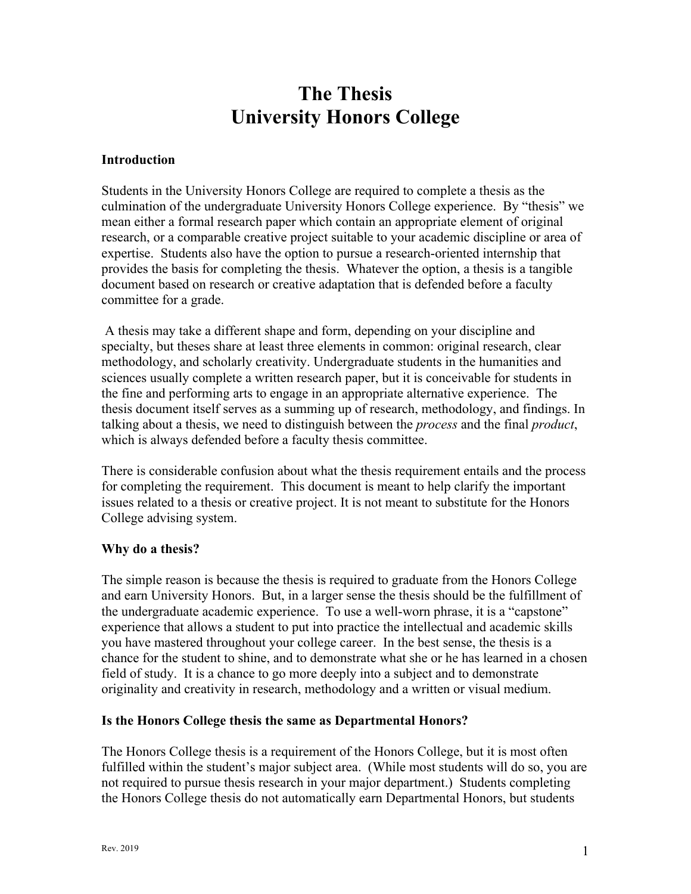# **The Thesis University Honors College**

#### **Introduction**

Students in the University Honors College are required to complete a thesis as the culmination of the undergraduate University Honors College experience. By "thesis" we mean either a formal research paper which contain an appropriate element of original research, or a comparable creative project suitable to your academic discipline or area of expertise. Students also have the option to pursue a research-oriented internship that provides the basis for completing the thesis. Whatever the option, a thesis is a tangible document based on research or creative adaptation that is defended before a faculty committee for a grade.

 A thesis may take a different shape and form, depending on your discipline and specialty, but theses share at least three elements in common: original research, clear methodology, and scholarly creativity. Undergraduate students in the humanities and sciences usually complete a written research paper, but it is conceivable for students in the fine and performing arts to engage in an appropriate alternative experience. The thesis document itself serves as a summing up of research, methodology, and findings. In talking about a thesis, we need to distinguish between the *process* and the final *product*, which is always defended before a faculty thesis committee.

There is considerable confusion about what the thesis requirement entails and the process for completing the requirement. This document is meant to help clarify the important issues related to a thesis or creative project. It is not meant to substitute for the Honors College advising system.

#### **Why do a thesis?**

The simple reason is because the thesis is required to graduate from the Honors College and earn University Honors. But, in a larger sense the thesis should be the fulfillment of the undergraduate academic experience. To use a well-worn phrase, it is a "capstone" experience that allows a student to put into practice the intellectual and academic skills you have mastered throughout your college career. In the best sense, the thesis is a chance for the student to shine, and to demonstrate what she or he has learned in a chosen field of study. It is a chance to go more deeply into a subject and to demonstrate originality and creativity in research, methodology and a written or visual medium.

## **Is the Honors College thesis the same as Departmental Honors?**

The Honors College thesis is a requirement of the Honors College, but it is most often fulfilled within the student's major subject area. (While most students will do so, you are not required to pursue thesis research in your major department.) Students completing the Honors College thesis do not automatically earn Departmental Honors, but students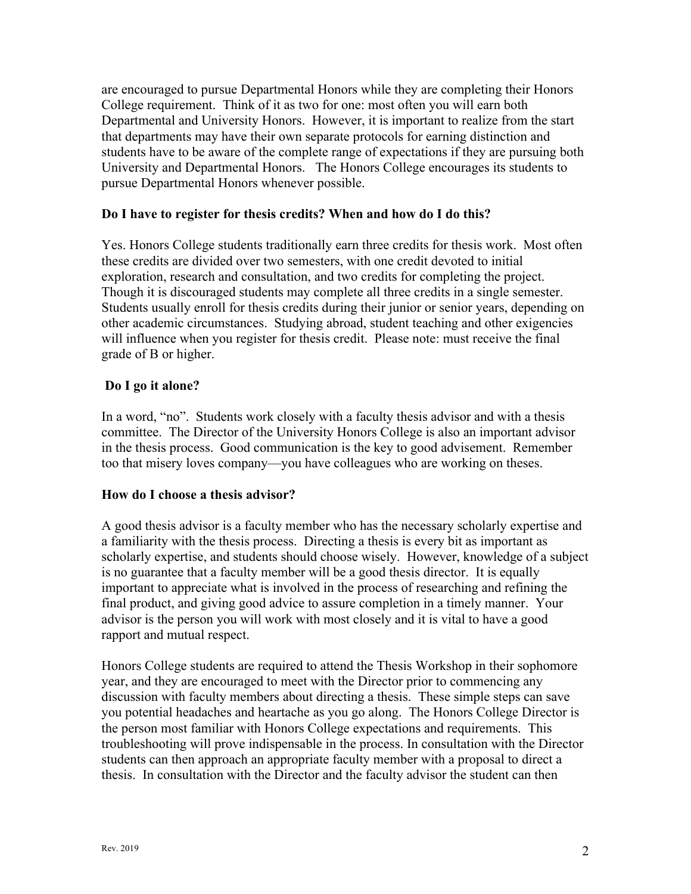are encouraged to pursue Departmental Honors while they are completing their Honors College requirement. Think of it as two for one: most often you will earn both Departmental and University Honors. However, it is important to realize from the start that departments may have their own separate protocols for earning distinction and students have to be aware of the complete range of expectations if they are pursuing both University and Departmental Honors. The Honors College encourages its students to pursue Departmental Honors whenever possible.

#### **Do I have to register for thesis credits? When and how do I do this?**

Yes. Honors College students traditionally earn three credits for thesis work. Most often these credits are divided over two semesters, with one credit devoted to initial exploration, research and consultation, and two credits for completing the project. Though it is discouraged students may complete all three credits in a single semester. Students usually enroll for thesis credits during their junior or senior years, depending on other academic circumstances. Studying abroad, student teaching and other exigencies will influence when you register for thesis credit. Please note: must receive the final grade of B or higher.

## **Do I go it alone?**

In a word, "no". Students work closely with a faculty thesis advisor and with a thesis committee. The Director of the University Honors College is also an important advisor in the thesis process. Good communication is the key to good advisement. Remember too that misery loves company—you have colleagues who are working on theses.

## **How do I choose a thesis advisor?**

A good thesis advisor is a faculty member who has the necessary scholarly expertise and a familiarity with the thesis process. Directing a thesis is every bit as important as scholarly expertise, and students should choose wisely. However, knowledge of a subject is no guarantee that a faculty member will be a good thesis director. It is equally important to appreciate what is involved in the process of researching and refining the final product, and giving good advice to assure completion in a timely manner. Your advisor is the person you will work with most closely and it is vital to have a good rapport and mutual respect.

Honors College students are required to attend the Thesis Workshop in their sophomore year, and they are encouraged to meet with the Director prior to commencing any discussion with faculty members about directing a thesis. These simple steps can save you potential headaches and heartache as you go along. The Honors College Director is the person most familiar with Honors College expectations and requirements. This troubleshooting will prove indispensable in the process. In consultation with the Director students can then approach an appropriate faculty member with a proposal to direct a thesis. In consultation with the Director and the faculty advisor the student can then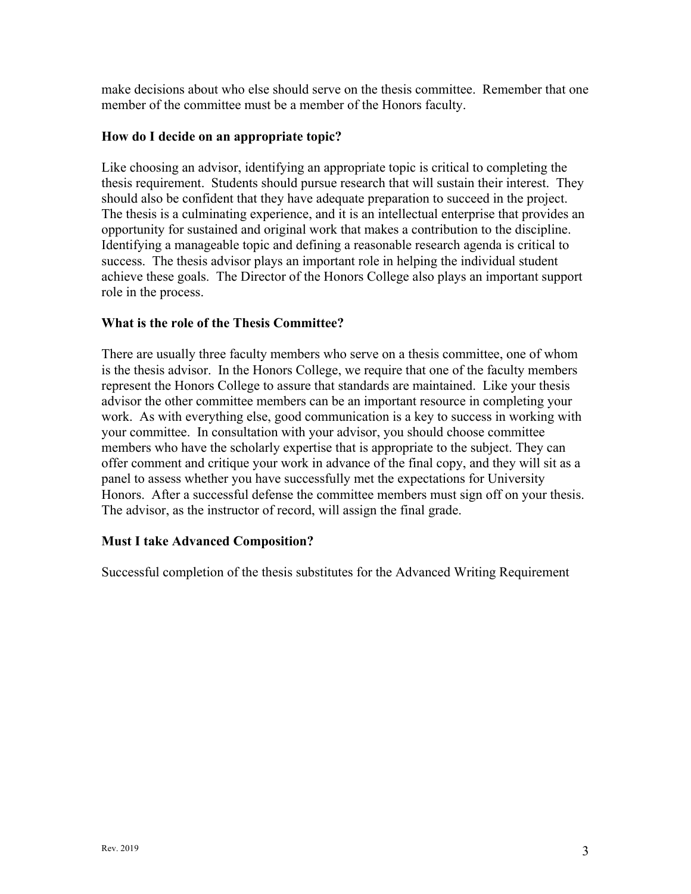make decisions about who else should serve on the thesis committee. Remember that one member of the committee must be a member of the Honors faculty.

## **How do I decide on an appropriate topic?**

Like choosing an advisor, identifying an appropriate topic is critical to completing the thesis requirement. Students should pursue research that will sustain their interest. They should also be confident that they have adequate preparation to succeed in the project. The thesis is a culminating experience, and it is an intellectual enterprise that provides an opportunity for sustained and original work that makes a contribution to the discipline. Identifying a manageable topic and defining a reasonable research agenda is critical to success. The thesis advisor plays an important role in helping the individual student achieve these goals. The Director of the Honors College also plays an important support role in the process.

## **What is the role of the Thesis Committee?**

There are usually three faculty members who serve on a thesis committee, one of whom is the thesis advisor. In the Honors College, we require that one of the faculty members represent the Honors College to assure that standards are maintained. Like your thesis advisor the other committee members can be an important resource in completing your work. As with everything else, good communication is a key to success in working with your committee. In consultation with your advisor, you should choose committee members who have the scholarly expertise that is appropriate to the subject. They can offer comment and critique your work in advance of the final copy, and they will sit as a panel to assess whether you have successfully met the expectations for University Honors. After a successful defense the committee members must sign off on your thesis. The advisor, as the instructor of record, will assign the final grade.

#### **Must I take Advanced Composition?**

Successful completion of the thesis substitutes for the Advanced Writing Requirement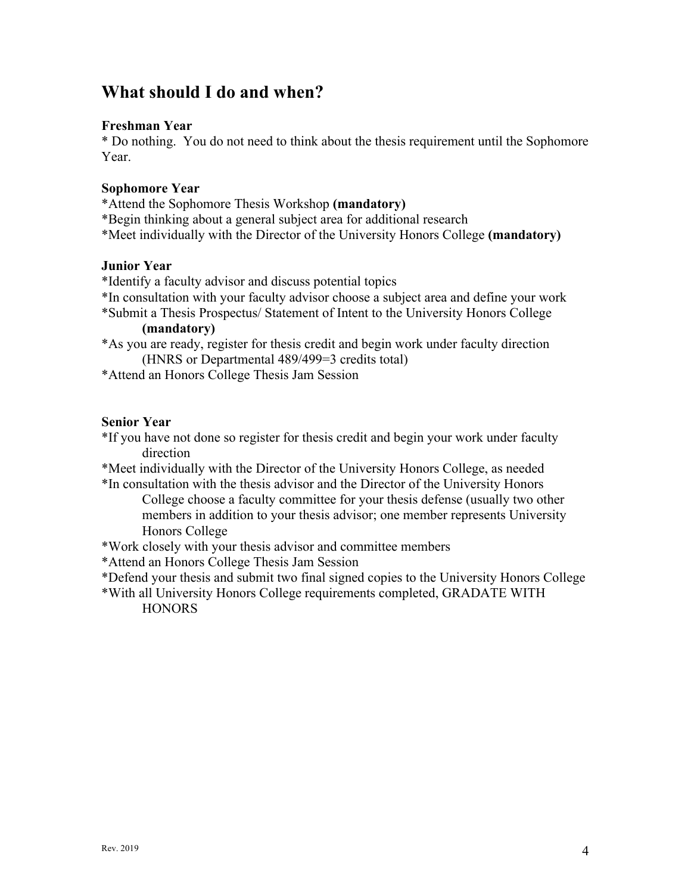## **What should I do and when?**

## **Freshman Year**

\* Do nothing. You do not need to think about the thesis requirement until the Sophomore Year.

#### **Sophomore Year**

- \*Attend the Sophomore Thesis Workshop **(mandatory)**
- \*Begin thinking about a general subject area for additional research
- \*Meet individually with the Director of the University Honors College **(mandatory)**

#### **Junior Year**

- \*Identify a faculty advisor and discuss potential topics
- \*In consultation with your faculty advisor choose a subject area and define your work
- \*Submit a Thesis Prospectus/ Statement of Intent to the University Honors College **(mandatory)**
- \*As you are ready, register for thesis credit and begin work under faculty direction (HNRS or Departmental 489/499=3 credits total)
- \*Attend an Honors College Thesis Jam Session

#### **Senior Year**

- \*If you have not done so register for thesis credit and begin your work under faculty direction
- \*Meet individually with the Director of the University Honors College, as needed
- \*In consultation with the thesis advisor and the Director of the University Honors College choose a faculty committee for your thesis defense (usually two other members in addition to your thesis advisor; one member represents University Honors College
- \*Work closely with your thesis advisor and committee members
- \*Attend an Honors College Thesis Jam Session
- \*Defend your thesis and submit two final signed copies to the University Honors College
- \*With all University Honors College requirements completed, GRADATE WITH **HONORS**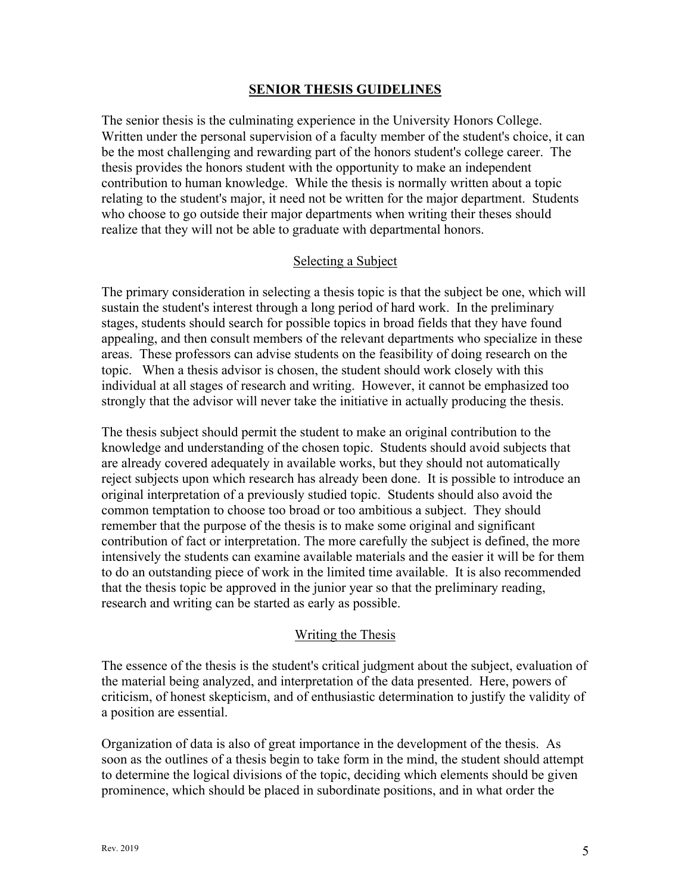#### **SENIOR THESIS GUIDELINES**

The senior thesis is the culminating experience in the University Honors College. Written under the personal supervision of a faculty member of the student's choice, it can be the most challenging and rewarding part of the honors student's college career. The thesis provides the honors student with the opportunity to make an independent contribution to human knowledge. While the thesis is normally written about a topic relating to the student's major, it need not be written for the major department. Students who choose to go outside their major departments when writing their theses should realize that they will not be able to graduate with departmental honors.

#### Selecting a Subject

The primary consideration in selecting a thesis topic is that the subject be one, which will sustain the student's interest through a long period of hard work. In the preliminary stages, students should search for possible topics in broad fields that they have found appealing, and then consult members of the relevant departments who specialize in these areas. These professors can advise students on the feasibility of doing research on the topic. When a thesis advisor is chosen, the student should work closely with this individual at all stages of research and writing. However, it cannot be emphasized too strongly that the advisor will never take the initiative in actually producing the thesis.

The thesis subject should permit the student to make an original contribution to the knowledge and understanding of the chosen topic. Students should avoid subjects that are already covered adequately in available works, but they should not automatically reject subjects upon which research has already been done. It is possible to introduce an original interpretation of a previously studied topic. Students should also avoid the common temptation to choose too broad or too ambitious a subject. They should remember that the purpose of the thesis is to make some original and significant contribution of fact or interpretation. The more carefully the subject is defined, the more intensively the students can examine available materials and the easier it will be for them to do an outstanding piece of work in the limited time available. It is also recommended that the thesis topic be approved in the junior year so that the preliminary reading, research and writing can be started as early as possible.

#### Writing the Thesis

The essence of the thesis is the student's critical judgment about the subject, evaluation of the material being analyzed, and interpretation of the data presented. Here, powers of criticism, of honest skepticism, and of enthusiastic determination to justify the validity of a position are essential.

Organization of data is also of great importance in the development of the thesis. As soon as the outlines of a thesis begin to take form in the mind, the student should attempt to determine the logical divisions of the topic, deciding which elements should be given prominence, which should be placed in subordinate positions, and in what order the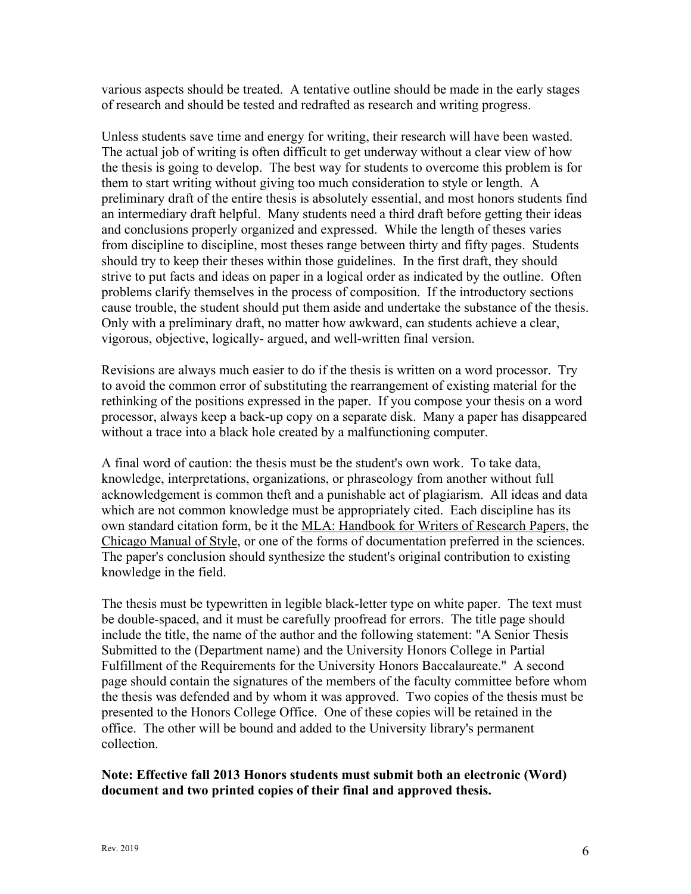various aspects should be treated. A tentative outline should be made in the early stages of research and should be tested and redrafted as research and writing progress.

Unless students save time and energy for writing, their research will have been wasted. The actual job of writing is often difficult to get underway without a clear view of how the thesis is going to develop. The best way for students to overcome this problem is for them to start writing without giving too much consideration to style or length. A preliminary draft of the entire thesis is absolutely essential, and most honors students find an intermediary draft helpful. Many students need a third draft before getting their ideas and conclusions properly organized and expressed. While the length of theses varies from discipline to discipline, most theses range between thirty and fifty pages. Students should try to keep their theses within those guidelines. In the first draft, they should strive to put facts and ideas on paper in a logical order as indicated by the outline. Often problems clarify themselves in the process of composition. If the introductory sections cause trouble, the student should put them aside and undertake the substance of the thesis. Only with a preliminary draft, no matter how awkward, can students achieve a clear, vigorous, objective, logically- argued, and well-written final version.

Revisions are always much easier to do if the thesis is written on a word processor. Try to avoid the common error of substituting the rearrangement of existing material for the rethinking of the positions expressed in the paper. If you compose your thesis on a word processor, always keep a back-up copy on a separate disk. Many a paper has disappeared without a trace into a black hole created by a malfunctioning computer.

A final word of caution: the thesis must be the student's own work. To take data, knowledge, interpretations, organizations, or phraseology from another without full acknowledgement is common theft and a punishable act of plagiarism. All ideas and data which are not common knowledge must be appropriately cited. Each discipline has its own standard citation form, be it the MLA: Handbook for Writers of Research Papers, the Chicago Manual of Style, or one of the forms of documentation preferred in the sciences. The paper's conclusion should synthesize the student's original contribution to existing knowledge in the field.

The thesis must be typewritten in legible black-letter type on white paper. The text must be double-spaced, and it must be carefully proofread for errors. The title page should include the title, the name of the author and the following statement: "A Senior Thesis Submitted to the (Department name) and the University Honors College in Partial Fulfillment of the Requirements for the University Honors Baccalaureate." A second page should contain the signatures of the members of the faculty committee before whom the thesis was defended and by whom it was approved. Two copies of the thesis must be presented to the Honors College Office. One of these copies will be retained in the office. The other will be bound and added to the University library's permanent collection.

## **Note: Effective fall 2013 Honors students must submit both an electronic (Word) document and two printed copies of their final and approved thesis.**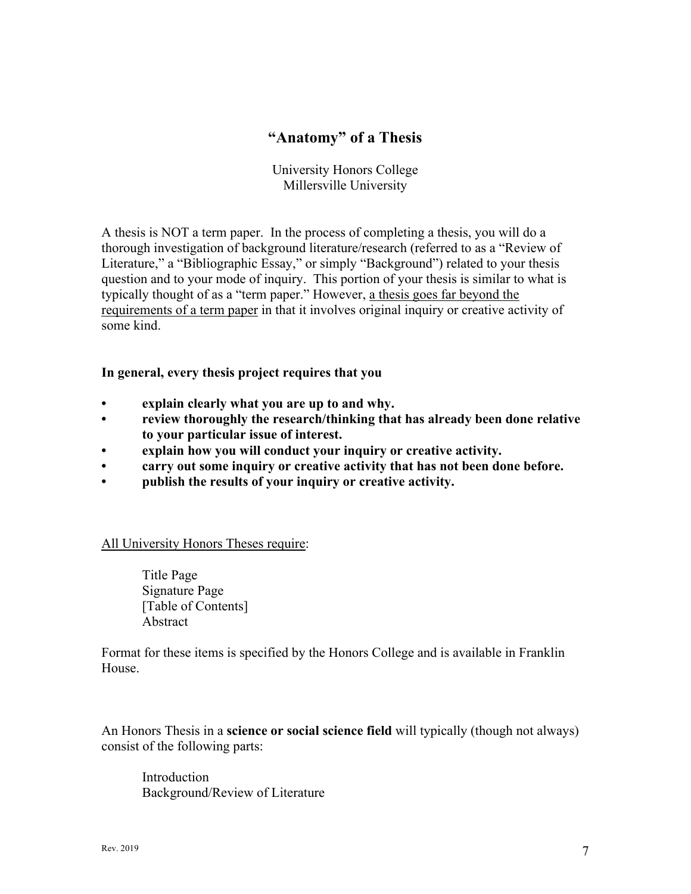## **"Anatomy" of a Thesis**

University Honors College Millersville University

A thesis is NOT a term paper. In the process of completing a thesis, you will do a thorough investigation of background literature/research (referred to as a "Review of Literature," a "Bibliographic Essay," or simply "Background") related to your thesis question and to your mode of inquiry. This portion of your thesis is similar to what is typically thought of as a "term paper." However, a thesis goes far beyond the requirements of a term paper in that it involves original inquiry or creative activity of some kind.

**In general, every thesis project requires that you** 

- **explain clearly what you are up to and why.**
- **review thoroughly the research/thinking that has already been done relative to your particular issue of interest.**
- **explain how you will conduct your inquiry or creative activity.**
- **carry out some inquiry or creative activity that has not been done before.**
- **publish the results of your inquiry or creative activity.**

All University Honors Theses require:

 Title Page Signature Page [Table of Contents] Abstract

Format for these items is specified by the Honors College and is available in Franklin House.

An Honors Thesis in a **science or social science field** will typically (though not always) consist of the following parts:

 Introduction Background/Review of Literature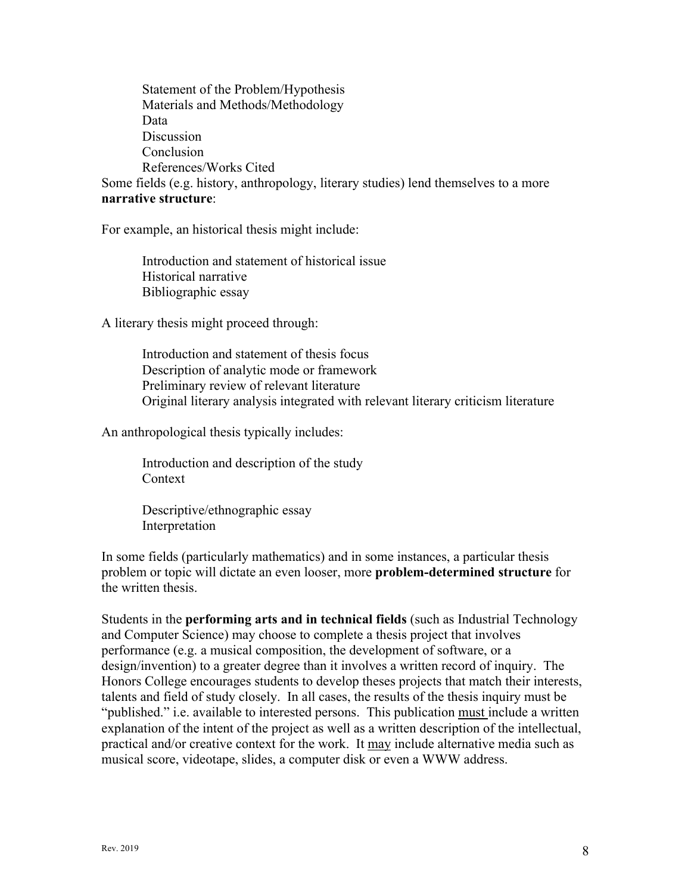Statement of the Problem/Hypothesis Materials and Methods/Methodology Data Discussion Conclusion References/Works Cited Some fields (e.g. history, anthropology, literary studies) lend themselves to a more

#### **narrative structure**:

For example, an historical thesis might include:

 Introduction and statement of historical issue Historical narrative Bibliographic essay

A literary thesis might proceed through:

 Introduction and statement of thesis focus Description of analytic mode or framework Preliminary review of relevant literature Original literary analysis integrated with relevant literary criticism literature

An anthropological thesis typically includes:

 Introduction and description of the study Context

 Descriptive/ethnographic essay Interpretation

In some fields (particularly mathematics) and in some instances, a particular thesis problem or topic will dictate an even looser, more **problem-determined structure** for the written thesis.

Students in the **performing arts and in technical fields** (such as Industrial Technology and Computer Science) may choose to complete a thesis project that involves performance (e.g. a musical composition, the development of software, or a design/invention) to a greater degree than it involves a written record of inquiry. The Honors College encourages students to develop theses projects that match their interests, talents and field of study closely. In all cases, the results of the thesis inquiry must be "published." i.e. available to interested persons. This publication must include a written explanation of the intent of the project as well as a written description of the intellectual, practical and/or creative context for the work. It may include alternative media such as musical score, videotape, slides, a computer disk or even a WWW address.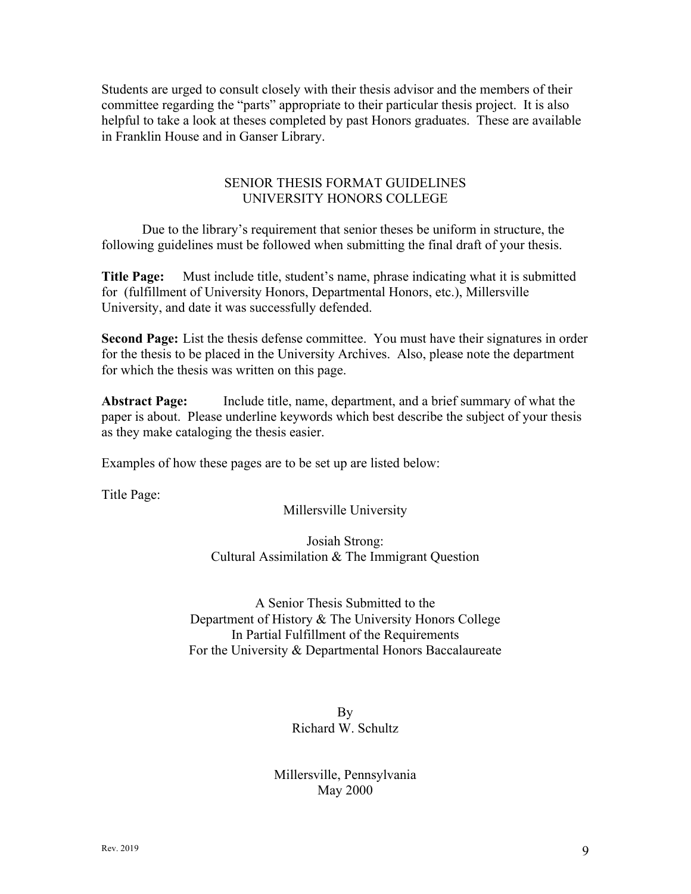Students are urged to consult closely with their thesis advisor and the members of their committee regarding the "parts" appropriate to their particular thesis project. It is also helpful to take a look at theses completed by past Honors graduates. These are available in Franklin House and in Ganser Library.

## SENIOR THESIS FORMAT GUIDELINES UNIVERSITY HONORS COLLEGE

 Due to the library's requirement that senior theses be uniform in structure, the following guidelines must be followed when submitting the final draft of your thesis.

**Title Page:** Must include title, student's name, phrase indicating what it is submitted for (fulfillment of University Honors, Departmental Honors, etc.), Millersville University, and date it was successfully defended.

**Second Page:** List the thesis defense committee. You must have their signatures in order for the thesis to be placed in the University Archives. Also, please note the department for which the thesis was written on this page.

**Abstract Page:** Include title, name, department, and a brief summary of what the paper is about. Please underline keywords which best describe the subject of your thesis as they make cataloging the thesis easier.

Examples of how these pages are to be set up are listed below:

Title Page:

#### Millersville University

## Josiah Strong: Cultural Assimilation & The Immigrant Question

A Senior Thesis Submitted to the Department of History & The University Honors College In Partial Fulfillment of the Requirements For the University & Departmental Honors Baccalaureate

> By Richard W. Schultz

## Millersville, Pennsylvania May 2000